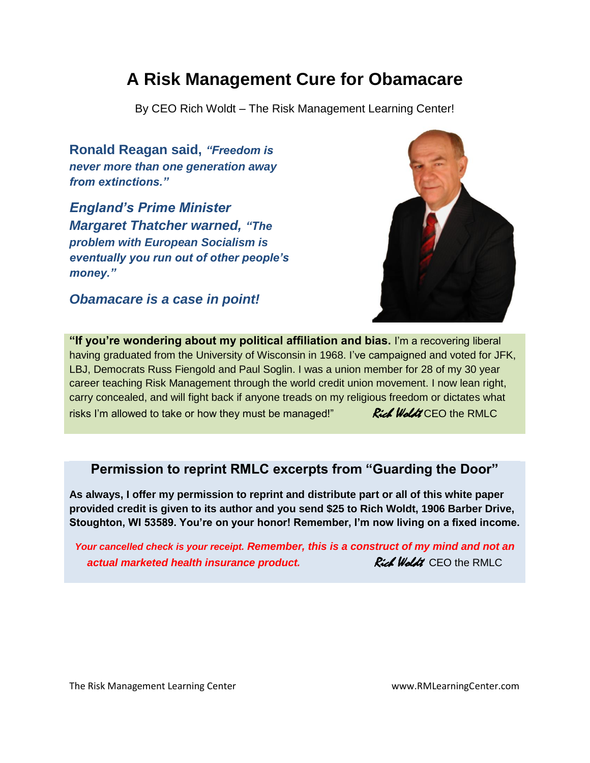## **A Risk Management Cure for Obamacare**

By CEO Rich Woldt – The Risk Management Learning Center!

**Ronald Reagan said,** *"Freedom is never more than one generation away from extinctions."* 

*England's Prime Minister Margaret Thatcher warned, "The problem with European Socialism is eventually you run out of other people's money."* 

*Obamacare is a case in point!*



**"If you're wondering about my political affiliation and bias.** I'm a recovering liberal having graduated from the University of Wisconsin in 1968. I've campaigned and voted for JFK, LBJ, Democrats Russ Fiengold and Paul Soglin. I was a union member for 28 of my 30 year career teaching Risk Management through the world credit union movement. I now lean right, carry concealed, and will fight back if anyone treads on my religious freedom or dictates what risks I'm allowed to take or how they must be managed!"  $Rid$  Woldt CEO the RMLC

#### **Permission to reprint RMLC excerpts from "Guarding the Door"**

**As always, I offer my permission to reprint and distribute part or all of this white paper provided credit is given to its author and you send \$25 to Rich Woldt, 1906 Barber Drive, Stoughton, WI 53589. You're on your honor! Remember, I'm now living on a fixed income.**

*Your cancelled check is your receipt. Remember, this is a construct of my mind and not an actual marketed health insurance product. Rich Woldt* **CEO the RMLC**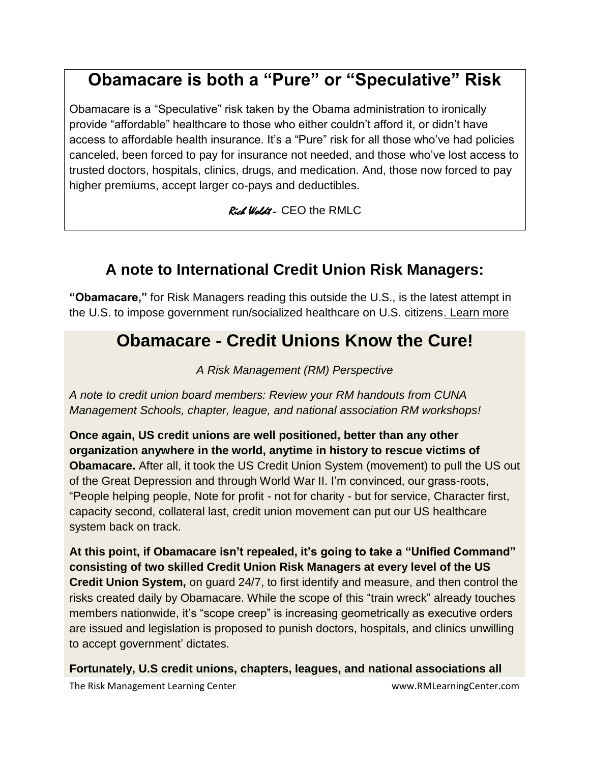# **Obamacare is both a "Pure" or "Speculative" Risk**

Obamacare is a "Speculative" risk taken by the Obama administration to ironically provide "affordable" healthcare to those who either couldn't afford it, or didn't have access to affordable health insurance. It's a "Pure" risk for all those who've had policies canceled, been forced to pay for insurance not needed, and those who've lost access to trusted doctors, hospitals, clinics, drugs, and medication. And, those now forced to pay higher premiums, accept larger co-pays and deductibles.

Rich Woldt - CEO the RMLC

#### **A note to International Credit Union Risk Managers:**

**"Obamacare,"** for Risk Managers reading this outside the U.S., is the latest attempt in the U.S. to impose government run/socialized healthcare on U.S. citizen[s. Learn more](../../../../../../Documents%20and%20Settings/Admin/My%20Documents/My%20Web%20Sites/www.rmlearningcenter.com/Guarding_The_Door_2014/Guarding_the_Door/Home-Rule_Healthcare_andRMCureforObamacare_ToPostDec12/A%20note%20to%20International%20Credit%20Union%20Risk%20Managers.pdf)

## **Obamacare - Credit Unions Know the Cure!**

*A Risk Management (RM) Perspective*

*A note to credit union board members: Review your RM handouts from CUNA Management Schools, chapter, league, and national association RM workshops!* 

**Once again, US credit unions are well positioned, better than any other organization anywhere in the world, anytime in history to rescue victims of Obamacare.** After all, it took the US Credit Union System (movement) to pull the US out of the Great Depression and through World War II. I'm convinced, our grass-roots, "People helping people, Note for profit - not for charity - but for service, Character first, capacity second, collateral last, credit union movement can put our US healthcare system back on track.

**At this point, if Obamacare isn't repealed, it's going to take a "Unified Command" consisting of two skilled Credit Union Risk Managers at every level of the US Credit Union System,** on guard 24/7, to first identify and measure, and then control the risks created daily by Obamacare. While the scope of this "train wreck" already touches members nationwide, it's "scope creep" is increasing geometrically as executive orders are issued and legislation is proposed to punish doctors, hospitals, and clinics unwilling to accept government' dictates.

**Fortunately, U.S credit unions, chapters, leagues, and national associations all**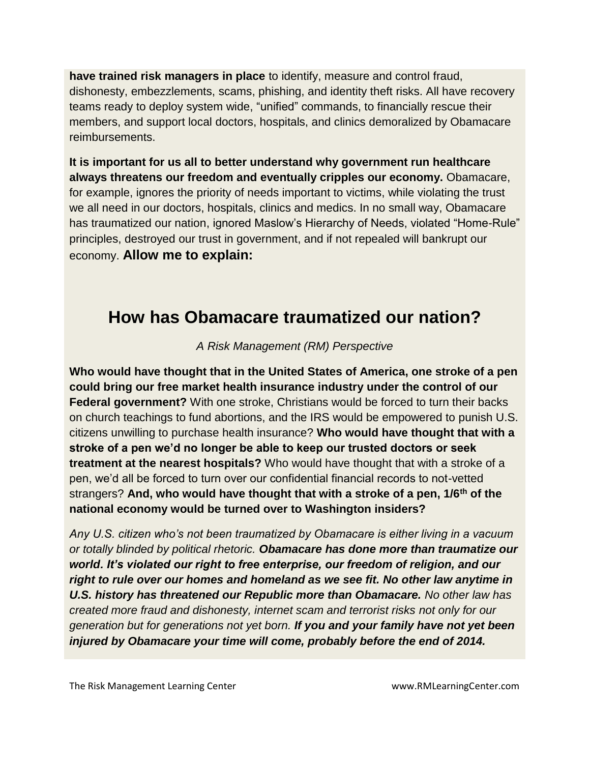**have trained risk managers in place** to identify, measure and control fraud, dishonesty, embezzlements, scams, phishing, and identity theft risks. All have recovery teams ready to deploy system wide, "unified" commands, to financially rescue their members, and support local doctors, hospitals, and clinics demoralized by Obamacare reimbursements.

**It is important for us all to better understand why government run healthcare always threatens our freedom and eventually cripples our economy.** Obamacare, for example, ignores the priority of needs important to victims, while violating the trust we all need in our doctors, hospitals, clinics and medics. In no small way, Obamacare has traumatized our nation, ignored Maslow's Hierarchy of Needs, violated "Home-Rule" principles, destroyed our trust in government, and if not repealed will bankrupt our economy. **Allow me to explain:**

## **How has Obamacare traumatized our nation?**

*A Risk Management (RM) Perspective*

**Who would have thought that in the United States of America, one stroke of a pen could bring our free market health insurance industry under the control of our Federal government?** With one stroke, Christians would be forced to turn their backs on church teachings to fund abortions, and the IRS would be empowered to punish U.S. citizens unwilling to purchase health insurance? **Who would have thought that with a stroke of a pen we'd no longer be able to keep our trusted doctors or seek treatment at the nearest hospitals?** Who would have thought that with a stroke of a pen, we'd all be forced to turn over our confidential financial records to not-vetted strangers? **And, who would have thought that with a stroke of a pen, 1/6th of the national economy would be turned over to Washington insiders?** 

*Any U.S. citizen who's not been traumatized by Obamacare is either living in a vacuum or totally blinded by political rhetoric. Obamacare has done more than traumatize our world. It's violated our right to free enterprise, our freedom of religion, and our right to rule over our homes and homeland as we see fit. No other law anytime in U.S. history has threatened our Republic more than Obamacare. No other law has created more fraud and dishonesty, internet scam and terrorist risks not only for our generation but for generations not yet born. If you and your family have not yet been injured by Obamacare your time will come, probably before the end of 2014.*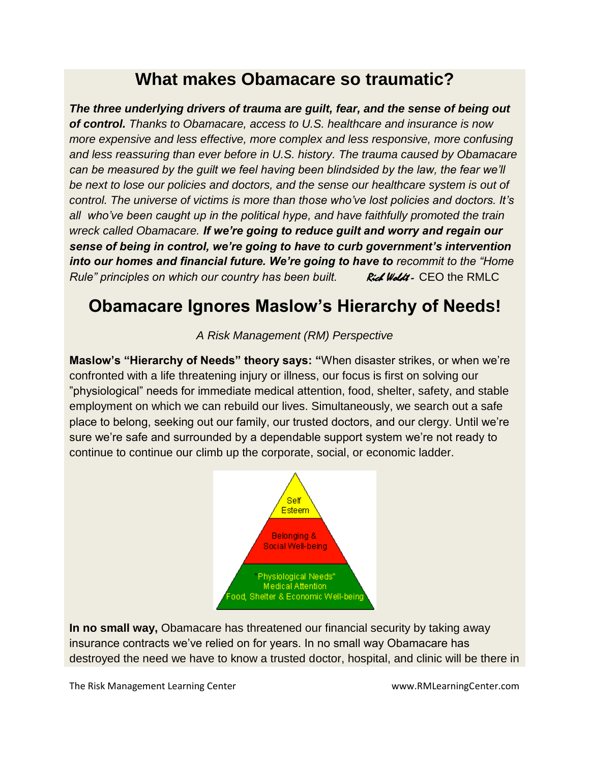## **What makes Obamacare so traumatic?**

*The three underlying drivers of trauma are guilt, fear, and the sense of being out of control. Thanks to Obamacare, access to U.S. healthcare and insurance is now more expensive and less effective, more complex and less responsive, more confusing and less reassuring than ever before in U.S. history. The trauma caused by Obamacare can be measured by the guilt we feel having been blindsided by the law, the fear we'll be next to lose our policies and doctors, and the sense our healthcare system is out of control. The universe of victims is more than those who've lost policies and doctors. It's all who've been caught up in the political hype, and have faithfully promoted the train wreck called Obamacare. If we're going to reduce guilt and worry and regain our sense of being in control, we're going to have to curb government's intervention into our homes and financial future. We're going to have to recommit to the "Home Rule" principles on which our country has been built. Rich Woldt - CEO the RMLC* 

## **Obamacare Ignores Maslow's Hierarchy of Needs!**

*A Risk Management (RM) Perspective*

**Maslow's "Hierarchy of Needs" theory says: "**When disaster strikes, or when we're confronted with a life threatening injury or illness, our focus is first on solving our "physiological" needs for immediate medical attention, food, shelter, safety, and stable employment on which we can rebuild our lives. Simultaneously, we search out a safe place to belong, seeking out our family, our trusted doctors, and our clergy. Until we're sure we're safe and surrounded by a dependable support system we're not ready to continue to continue our climb up the corporate, social, or economic ladder.



**In no small way,** Obamacare has threatened our financial security by taking away insurance contracts we've relied on for years. In no small way Obamacare has destroyed the need we have to know a trusted doctor, hospital, and clinic will be there in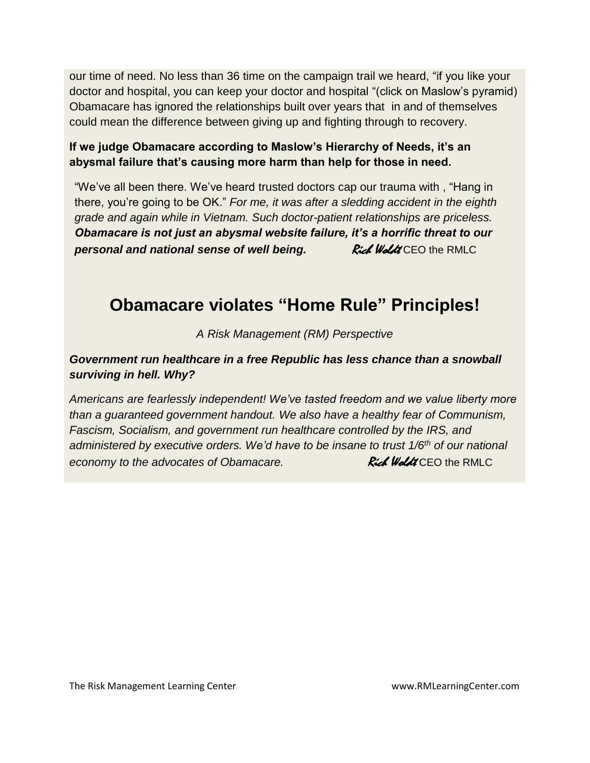our time of need. No less than 36 time on the campaign trail we heard, "if you like your doctor and hospital, you can keep your doctor and hospital "(click on Maslow's pyramid) Obamacare has ignored the relationships built over years that in and of themselves could mean the difference between giving up and fighting through to recovery.

#### **If we judge Obamacare according to Maslow's Hierarchy of Needs, it's an abysmal failure that's causing more harm than help for those in need.**

"We've all been there. We've heard trusted doctors cap our trauma with , "Hang in there, you're going to be OK." *For me, it was after a sledding accident in the eighth grade and again while in Vietnam. Such doctor-patient relationships are priceless. Obamacare is not just an abysmal website failure, it's a horrific threat to our*  **personal and national sense of well being. We Rich Woldt CEO the RMLC** 

## **Obamacare violates "Home Rule" Principles!**

*A Risk Management (RM) Perspective*

#### *Government run healthcare in a free Republic has less chance than a snowball surviving in hell. Why?*

*Americans are fearlessly independent! We've tasted freedom and we value liberty more than a guaranteed government handout. We also have a healthy fear of Communism, Fascism, Socialism, and government run healthcare controlled by the IRS, and administered by executive orders. We'd have to be insane to trust 1/6th of our national economy to the advocates of Obamacare.* **Rich Woldt CEO** the RMLC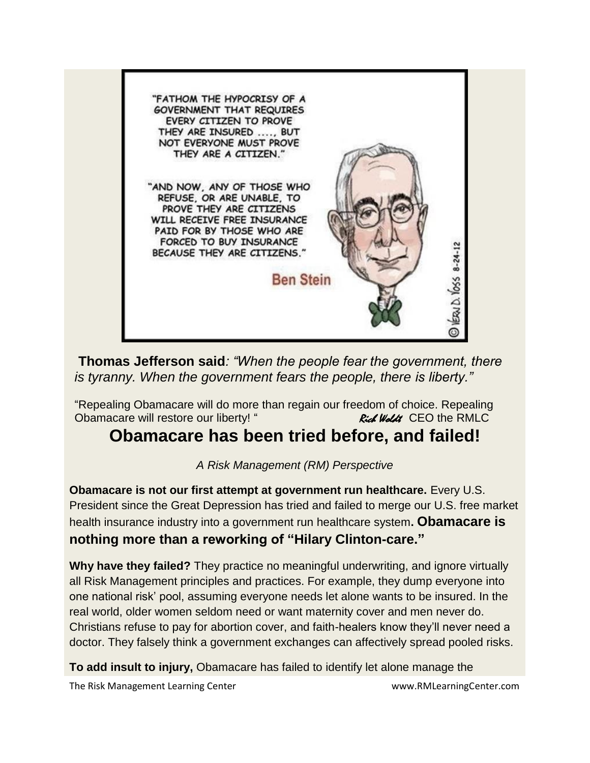

**Thomas Jefferson said***: "When the people fear the government, there is tyranny. When the government fears the people, there is liberty."* 

"Repealing Obamacare will do more than regain our freedom of choice. Repealing Obamacare will restore our liberty! " Rich Woldt CEO the RMLC

#### **Obamacare has been tried before, and failed!**

*A Risk Management (RM) Perspective*

**Obamacare is not our first attempt at government run healthcare.** Every U.S. President since the Great Depression has tried and failed to merge our U.S. free market health insurance industry into a government run healthcare system**. Obamacare is nothing more than a reworking of "Hilary Clinton-care."** 

**Why have they failed?** They practice no meaningful underwriting, and ignore virtually all Risk Management principles and practices. For example, they dump everyone into one national risk' pool, assuming everyone needs let alone wants to be insured. In the real world, older women seldom need or want maternity cover and men never do. Christians refuse to pay for abortion cover, and faith-healers know they'll never need a doctor. They falsely think a government exchanges can affectively spread pooled risks.

**To add insult to injury,** Obamacare has failed to identify let alone manage the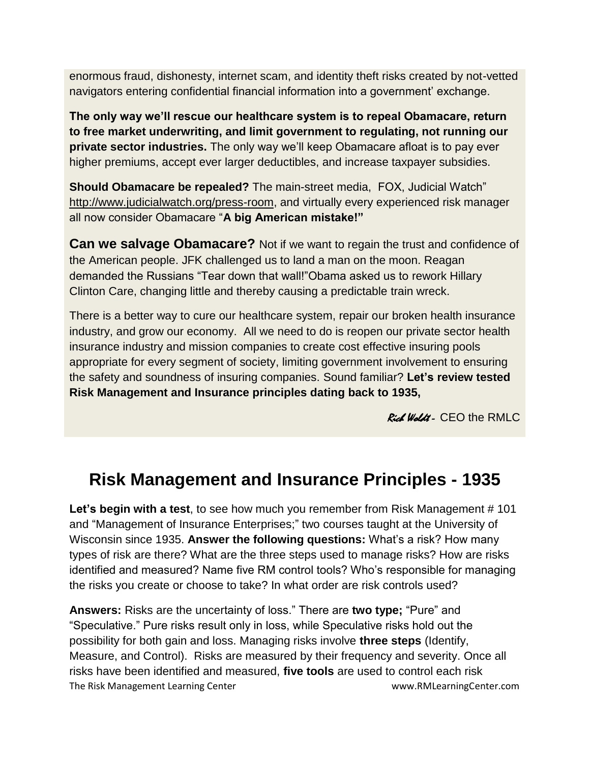enormous fraud, dishonesty, internet scam, and identity theft risks created by not-vetted navigators entering confidential financial information into a government' exchange.

**The only way we'll rescue our healthcare system is to repeal Obamacare, return to free market underwriting, and limit government to regulating, not running our private sector industries.** The only way we'll keep Obamacare afloat is to pay ever higher premiums, accept ever larger deductibles, and increase taxpayer subsidies.

**Should Obamacare be repealed?** The main-street media, FOX, Judicial Watch" [http://www.judicialwatch.org/press-room,](http://www.judicialwatch.org/press-room) and virtually every experienced risk manager all now consider Obamacare "**A big American mistake!"**

**Can we salvage Obamacare?** Not if we want to regain the trust and confidence of the American people. JFK challenged us to land a man on the moon. Reagan demanded the Russians "Tear down that wall!"Obama asked us to rework Hillary Clinton Care, changing little and thereby causing a predictable train wreck.

There is a better way to cure our healthcare system, repair our broken health insurance industry, and grow our economy. All we need to do is reopen our private sector health insurance industry and mission companies to create cost effective insuring pools appropriate for every segment of society, limiting government involvement to ensuring the safety and soundness of insuring companies. Sound familiar? **Let's review tested Risk Management and Insurance principles dating back to 1935,** 

Rich Woldt - CEO the RMLC

## **Risk Management and Insurance Principles - 1935**

Let's begin with a test, to see how much you remember from Risk Management #101 and "Management of Insurance Enterprises;" two courses taught at the University of Wisconsin since 1935. **Answer the following questions:** What's a risk? How many types of risk are there? What are the three steps used to manage risks? How are risks identified and measured? Name five RM control tools? Who's responsible for managing the risks you create or choose to take? In what order are risk controls used?

The Risk Management Learning Center www.RMLearningCenter.com **Answers:** Risks are the uncertainty of loss." There are **two type;** "Pure" and "Speculative." Pure risks result only in loss, while Speculative risks hold out the possibility for both gain and loss. Managing risks involve **three steps** (Identify, Measure, and Control). Risks are measured by their frequency and severity. Once all risks have been identified and measured, **five tools** are used to control each risk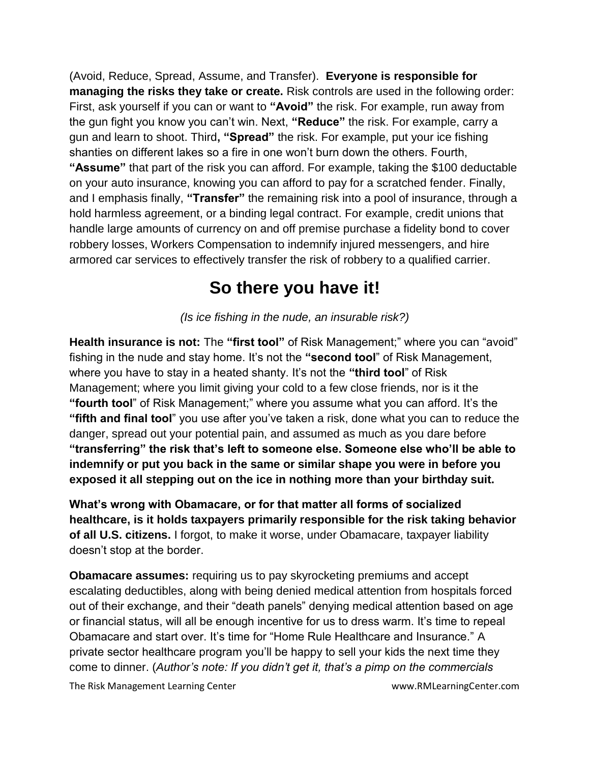(Avoid, Reduce, Spread, Assume, and Transfer). **Everyone is responsible for managing the risks they take or create.** Risk controls are used in the following order: First, ask yourself if you can or want to **"Avoid"** the risk. For example, run away from the gun fight you know you can't win. Next, **"Reduce"** the risk. For example, carry a gun and learn to shoot. Third**, "Spread"** the risk. For example, put your ice fishing shanties on different lakes so a fire in one won't burn down the others. Fourth, **"Assume"** that part of the risk you can afford. For example, taking the \$100 deductable on your auto insurance, knowing you can afford to pay for a scratched fender. Finally, and I emphasis finally, **"Transfer"** the remaining risk into a pool of insurance, through a hold harmless agreement, or a binding legal contract. For example, credit unions that handle large amounts of currency on and off premise purchase a fidelity bond to cover robbery losses, Workers Compensation to indemnify injured messengers, and hire armored car services to effectively transfer the risk of robbery to a qualified carrier.

## **So there you have it!**

*(Is ice fishing in the nude, an insurable risk?)*

**Health insurance is not:** The **"first tool"** of Risk Management;" where you can "avoid" fishing in the nude and stay home. It's not the **"second tool**" of Risk Management, where you have to stay in a heated shanty. It's not the **"third tool**" of Risk Management; where you limit giving your cold to a few close friends, nor is it the **"fourth tool**" of Risk Management;" where you assume what you can afford. It's the **"fifth and final tool**" you use after you've taken a risk, done what you can to reduce the danger, spread out your potential pain, and assumed as much as you dare before **"transferring" the risk that's left to someone else. Someone else who'll be able to indemnify or put you back in the same or similar shape you were in before you exposed it all stepping out on the ice in nothing more than your birthday suit.** 

**What's wrong with Obamacare, or for that matter all forms of socialized healthcare, is it holds taxpayers primarily responsible for the risk taking behavior of all U.S. citizens.** I forgot, to make it worse, under Obamacare, taxpayer liability doesn't stop at the border.

**Obamacare assumes:** requiring us to pay skyrocketing premiums and accept escalating deductibles, along with being denied medical attention from hospitals forced out of their exchange, and their "death panels" denying medical attention based on age or financial status, will all be enough incentive for us to dress warm. It's time to repeal Obamacare and start over. It's time for "Home Rule Healthcare and Insurance." A private sector healthcare program you'll be happy to sell your kids the next time they come to dinner. (*Author's note: If you didn't get it, that's a pimp on the commercials*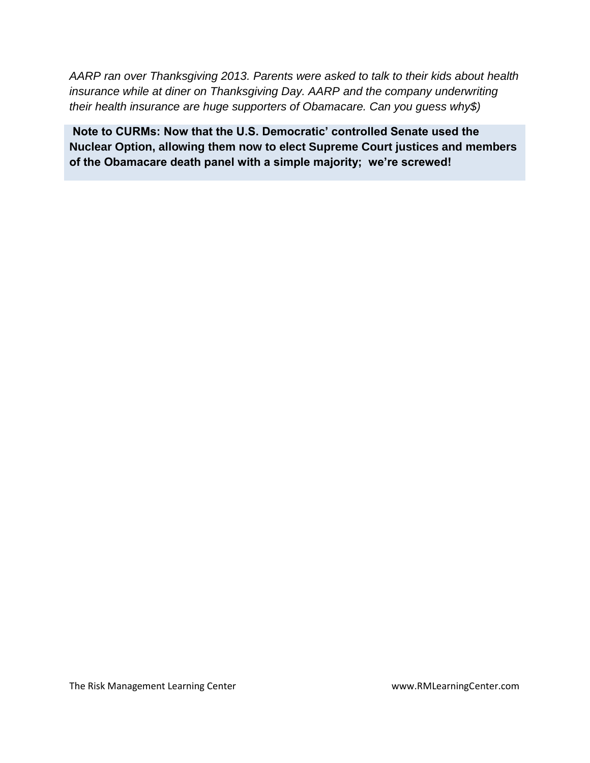*AARP ran over Thanksgiving 2013. Parents were asked to talk to their kids about health insurance while at diner on Thanksgiving Day. AARP and the company underwriting their health insurance are huge supporters of Obamacare. Can you guess why\$)*

**Note to CURMs: Now that the U.S. Democratic' controlled Senate used the Nuclear Option, allowing them now to elect Supreme Court justices and members of the Obamacare death panel with a simple majority; we're screwed!**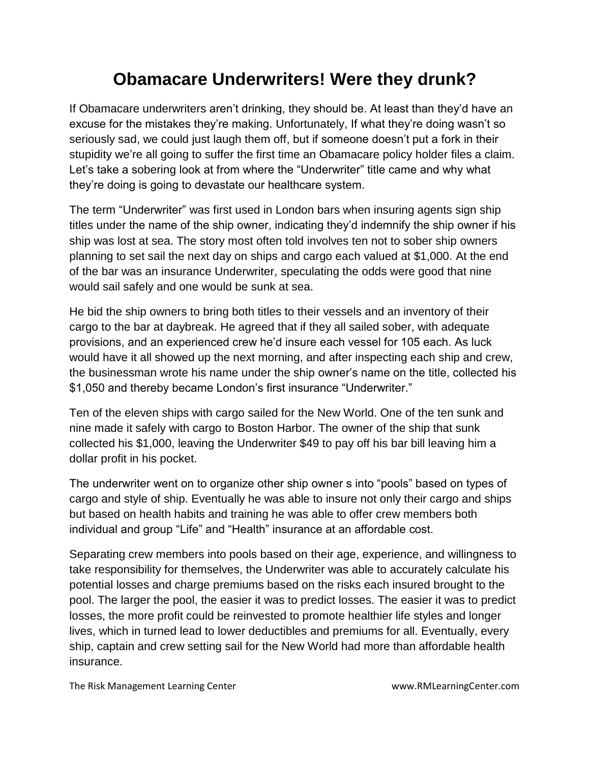## **Obamacare Underwriters! Were they drunk?**

If Obamacare underwriters aren't drinking, they should be. At least than they'd have an excuse for the mistakes they're making. Unfortunately, If what they're doing wasn't so seriously sad, we could just laugh them off, but if someone doesn't put a fork in their stupidity we're all going to suffer the first time an Obamacare policy holder files a claim. Let's take a sobering look at from where the "Underwriter" title came and why what they're doing is going to devastate our healthcare system.

The term "Underwriter" was first used in London bars when insuring agents sign ship titles under the name of the ship owner, indicating they'd indemnify the ship owner if his ship was lost at sea. The story most often told involves ten not to sober ship owners planning to set sail the next day on ships and cargo each valued at \$1,000. At the end of the bar was an insurance Underwriter, speculating the odds were good that nine would sail safely and one would be sunk at sea.

He bid the ship owners to bring both titles to their vessels and an inventory of their cargo to the bar at daybreak. He agreed that if they all sailed sober, with adequate provisions, and an experienced crew he'd insure each vessel for 105 each. As luck would have it all showed up the next morning, and after inspecting each ship and crew, the businessman wrote his name under the ship owner's name on the title, collected his \$1,050 and thereby became London's first insurance "Underwriter."

Ten of the eleven ships with cargo sailed for the New World. One of the ten sunk and nine made it safely with cargo to Boston Harbor. The owner of the ship that sunk collected his \$1,000, leaving the Underwriter \$49 to pay off his bar bill leaving him a dollar profit in his pocket.

The underwriter went on to organize other ship owner s into "pools" based on types of cargo and style of ship. Eventually he was able to insure not only their cargo and ships but based on health habits and training he was able to offer crew members both individual and group "Life" and "Health" insurance at an affordable cost.

Separating crew members into pools based on their age, experience, and willingness to take responsibility for themselves, the Underwriter was able to accurately calculate his potential losses and charge premiums based on the risks each insured brought to the pool. The larger the pool, the easier it was to predict losses. The easier it was to predict losses, the more profit could be reinvested to promote healthier life styles and longer lives, which in turned lead to lower deductibles and premiums for all. Eventually, every ship, captain and crew setting sail for the New World had more than affordable health insurance.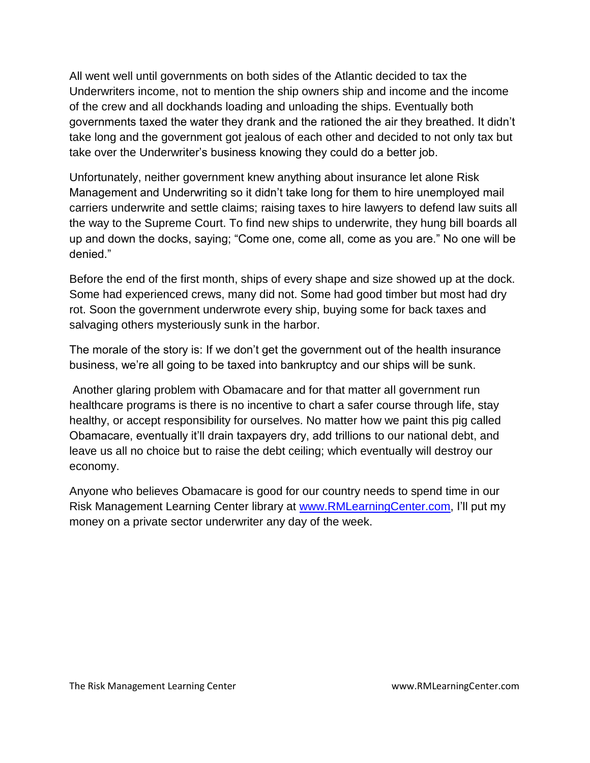All went well until governments on both sides of the Atlantic decided to tax the Underwriters income, not to mention the ship owners ship and income and the income of the crew and all dockhands loading and unloading the ships. Eventually both governments taxed the water they drank and the rationed the air they breathed. It didn't take long and the government got jealous of each other and decided to not only tax but take over the Underwriter's business knowing they could do a better job.

Unfortunately, neither government knew anything about insurance let alone Risk Management and Underwriting so it didn't take long for them to hire unemployed mail carriers underwrite and settle claims; raising taxes to hire lawyers to defend law suits all the way to the Supreme Court. To find new ships to underwrite, they hung bill boards all up and down the docks, saying; "Come one, come all, come as you are." No one will be denied."

Before the end of the first month, ships of every shape and size showed up at the dock. Some had experienced crews, many did not. Some had good timber but most had dry rot. Soon the government underwrote every ship, buying some for back taxes and salvaging others mysteriously sunk in the harbor.

The morale of the story is: If we don't get the government out of the health insurance business, we're all going to be taxed into bankruptcy and our ships will be sunk.

Another glaring problem with Obamacare and for that matter all government run healthcare programs is there is no incentive to chart a safer course through life, stay healthy, or accept responsibility for ourselves. No matter how we paint this pig called Obamacare, eventually it'll drain taxpayers dry, add trillions to our national debt, and leave us all no choice but to raise the debt ceiling; which eventually will destroy our economy.

Anyone who believes Obamacare is good for our country needs to spend time in our Risk Management Learning Center library at [www.RMLearningCenter.com,](http://www.rmlearningcenter.com/) I'll put my money on a private sector underwriter any day of the week.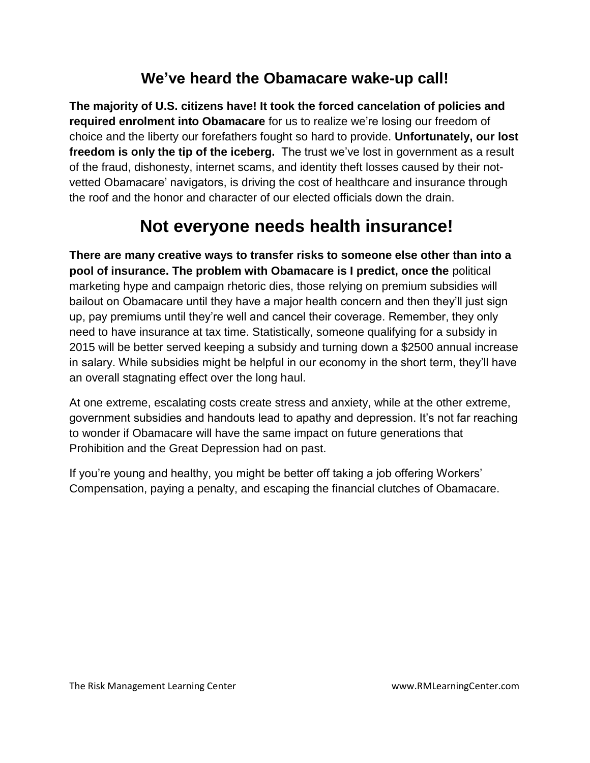#### **We've heard the Obamacare wake-up call!**

**The majority of U.S. citizens have! It took the forced cancelation of policies and required enrolment into Obamacare** for us to realize we're losing our freedom of choice and the liberty our forefathers fought so hard to provide. **Unfortunately, our lost freedom is only the tip of the iceberg.** The trust we've lost in government as a result of the fraud, dishonesty, internet scams, and identity theft losses caused by their notvetted Obamacare' navigators, is driving the cost of healthcare and insurance through the roof and the honor and character of our elected officials down the drain.

## **Not everyone needs health insurance!**

**There are many creative ways to transfer risks to someone else other than into a pool of insurance. The problem with Obamacare is I predict, once the** political marketing hype and campaign rhetoric dies, those relying on premium subsidies will bailout on Obamacare until they have a major health concern and then they'll just sign up, pay premiums until they're well and cancel their coverage. Remember, they only need to have insurance at tax time. Statistically, someone qualifying for a subsidy in 2015 will be better served keeping a subsidy and turning down a \$2500 annual increase in salary. While subsidies might be helpful in our economy in the short term, they'll have an overall stagnating effect over the long haul.

At one extreme, escalating costs create stress and anxiety, while at the other extreme, government subsidies and handouts lead to apathy and depression. It's not far reaching to wonder if Obamacare will have the same impact on future generations that Prohibition and the Great Depression had on past.

If you're young and healthy, you might be better off taking a job offering Workers' Compensation, paying a penalty, and escaping the financial clutches of Obamacare.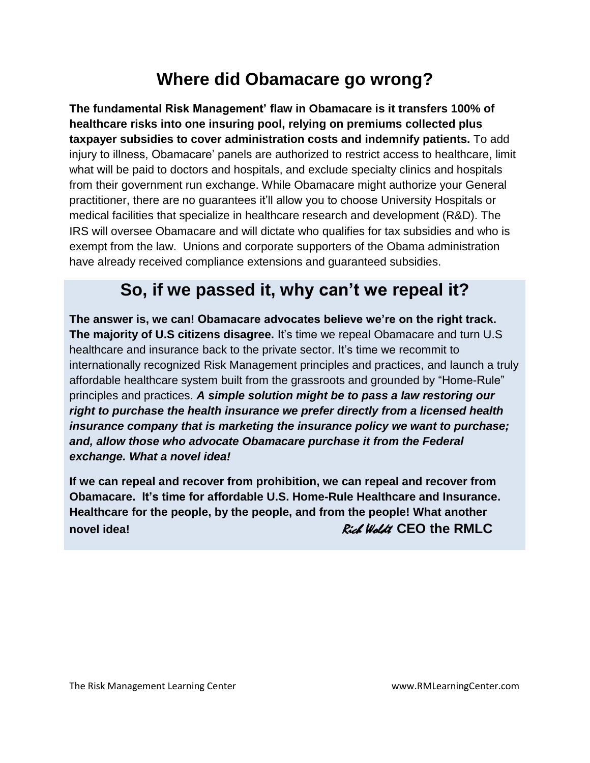## **Where did Obamacare go wrong?**

**The fundamental Risk Management' flaw in Obamacare is it transfers 100% of healthcare risks into one insuring pool, relying on premiums collected plus taxpayer subsidies to cover administration costs and indemnify patients.** To add injury to illness, Obamacare' panels are authorized to restrict access to healthcare, limit what will be paid to doctors and hospitals, and exclude specialty clinics and hospitals from their government run exchange. While Obamacare might authorize your General practitioner, there are no guarantees it'll allow you to choose University Hospitals or medical facilities that specialize in healthcare research and development (R&D). The IRS will oversee Obamacare and will dictate who qualifies for tax subsidies and who is exempt from the law. Unions and corporate supporters of the Obama administration have already received compliance extensions and guaranteed subsidies.

## **So, if we passed it, why can't we repeal it?**

**The answer is, we can! Obamacare advocates believe we're on the right track. The majority of U.S citizens disagree.** It's time we repeal Obamacare and turn U.S healthcare and insurance back to the private sector. It's time we recommit to internationally recognized Risk Management principles and practices, and launch a truly affordable healthcare system built from the grassroots and grounded by "Home-Rule" principles and practices. *A simple solution might be to pass a law restoring our right to purchase the health insurance we prefer directly from a licensed health insurance company that is marketing the insurance policy we want to purchase; and, allow those who advocate Obamacare purchase it from the Federal exchange. What a novel idea!* 

**If we can repeal and recover from prohibition, we can repeal and recover from Obamacare. It's time for affordable U.S. Home-Rule Healthcare and Insurance. Healthcare for the people, by the people, and from the people! What another novel idea! Rich Woldt CEO the RMLC**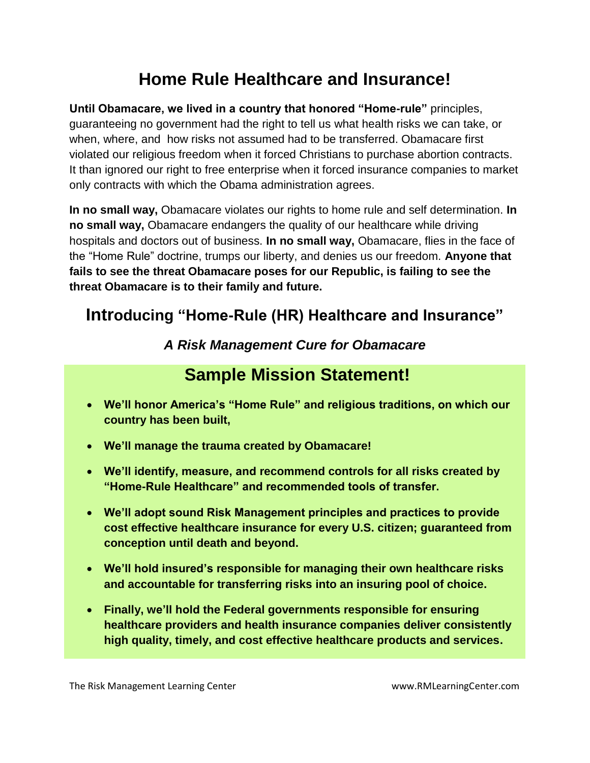# **Home Rule Healthcare and Insurance!**

**Until Obamacare, we lived in a country that honored "Home-rule"** principles, guaranteeing no government had the right to tell us what health risks we can take, or when, where, and how risks not assumed had to be transferred. Obamacare first violated our religious freedom when it forced Christians to purchase abortion contracts. It than ignored our right to free enterprise when it forced insurance companies to market only contracts with which the Obama administration agrees.

**In no small way,** Obamacare violates our rights to home rule and self determination. **In no small way,** Obamacare endangers the quality of our healthcare while driving hospitals and doctors out of business. **In no small way,** Obamacare, flies in the face of the "Home Rule" doctrine, trumps our liberty, and denies us our freedom. **Anyone that fails to see the threat Obamacare poses for our Republic, is failing to see the threat Obamacare is to their family and future.** 

### **Introducing "Home-Rule (HR) Healthcare and Insurance"**

#### *A Risk Management Cure for Obamacare*

## **Sample Mission Statement!**

- **We'll honor America's "Home Rule" and religious traditions, on which our country has been built,**
- **We'll manage the trauma created by Obamacare!**
- **We'll identify, measure, and recommend controls for all risks created by "Home-Rule Healthcare" and recommended tools of transfer.**
- **We'll adopt sound Risk Management principles and practices to provide cost effective healthcare insurance for every U.S. citizen; guaranteed from conception until death and beyond.**
- **We'll hold insured's responsible for managing their own healthcare risks and accountable for transferring risks into an insuring pool of choice.**
- **Finally, we'll hold the Federal governments responsible for ensuring healthcare providers and health insurance companies deliver consistently high quality, timely, and cost effective healthcare products and services.**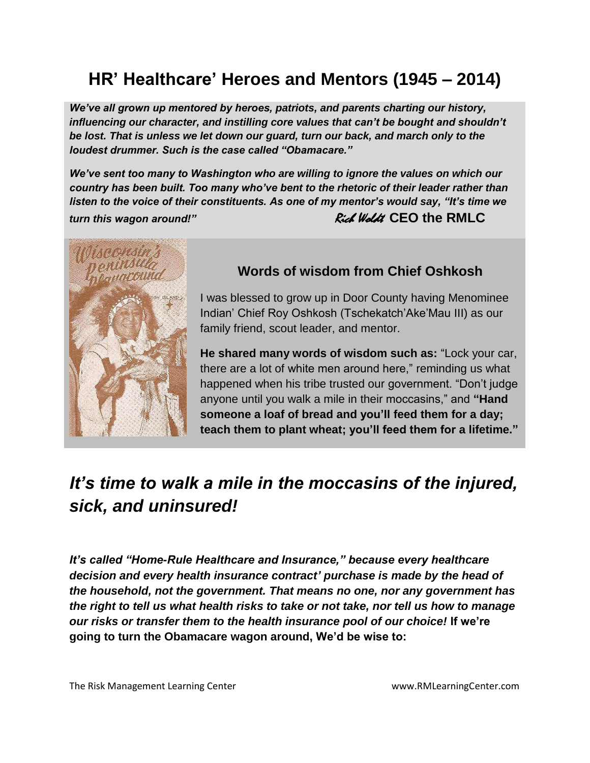# **HR' Healthcare' Heroes and Mentors (1945 – 2014)**

*We've all grown up mentored by heroes, patriots, and parents charting our history, influencing our character, and instilling core values that can't be bought and shouldn't be lost. That is unless we let down our guard, turn our back, and march only to the loudest drummer. Such is the case called "Obamacare."* 

*We've sent too many to Washington who are willing to ignore the values on which our country has been built. Too many who've bent to the rhetoric of their leader rather than listen to the voice of their constituents. As one of my mentor's would say, "It's time we turn this wagon around!"* **Example 20 All 20 All 20 All 20 All 20 All 20 All 20 All 20 All 20 All 20 All 20 All 20 All 20 All 20 All 20 All 20 All 20 All 20 All 20 All 20 All 20 All 20 All 20 All 20 All 20 All 20 All 20 A** 



#### **Words of wisdom from Chief Oshkosh**

I was blessed to grow up in Door County having Menominee Indian' Chief Roy Oshkosh (Tschekatch'Ake'Mau III) as our family friend, scout leader, and mentor.

**He shared many words of wisdom such as:** "Lock your car, there are a lot of white men around here," reminding us what happened when his tribe trusted our government. "Don't judge anyone until you walk a mile in their moccasins," and **"Hand someone a loaf of bread and you'll feed them for a day; teach them to plant wheat; you'll feed them for a lifetime."**

## *It's time to walk a mile in the moccasins of the injured, sick, and uninsured!*

*It's called "Home-Rule Healthcare and Insurance," because every healthcare decision and every health insurance contract' purchase is made by the head of the household, not the government. That means no one, nor any government has the right to tell us what health risks to take or not take, nor tell us how to manage our risks or transfer them to the health insurance pool of our choice!* **If we're going to turn the Obamacare wagon around, We'd be wise to:**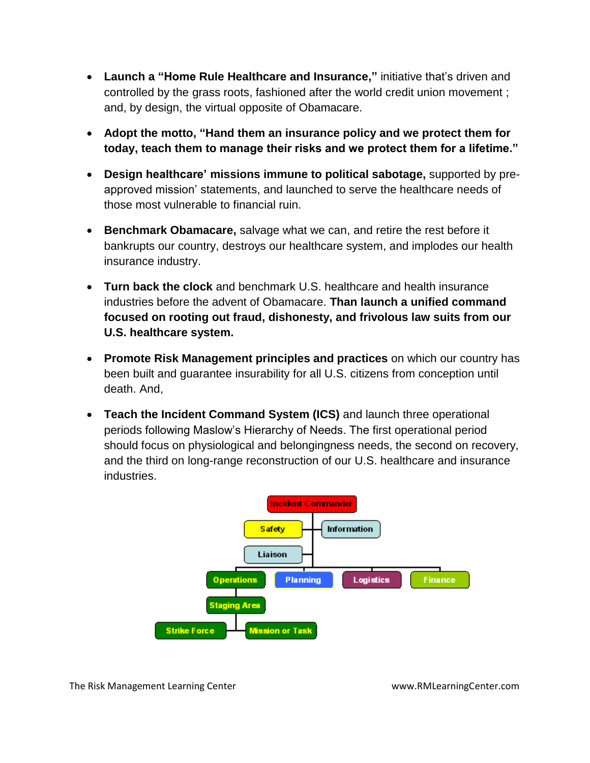- **Launch a "Home Rule Healthcare and Insurance,"** initiative that's driven and controlled by the grass roots, fashioned after the world credit union movement ; and, by design, the virtual opposite of Obamacare.
- **Adopt the motto, "Hand them an insurance policy and we protect them for today, teach them to manage their risks and we protect them for a lifetime."**
- **Design healthcare' missions immune to political sabotage,** supported by preapproved mission' statements, and launched to serve the healthcare needs of those most vulnerable to financial ruin.
- **Benchmark Obamacare,** salvage what we can, and retire the rest before it bankrupts our country, destroys our healthcare system, and implodes our health insurance industry.
- **Turn back the clock** and benchmark U.S. healthcare and health insurance industries before the advent of Obamacare. **Than launch a unified command focused on rooting out fraud, dishonesty, and frivolous law suits from our U.S. healthcare system.**
- **Promote Risk Management principles and practices** on which our country has been built and guarantee insurability for all U.S. citizens from conception until death. And,
- **Teach the Incident Command System (ICS)** and launch three operational periods following Maslow's Hierarchy of Needs. The first operational period should focus on physiological and belongingness needs, the second on recovery, and the third on long-range reconstruction of our U.S. healthcare and insurance industries.

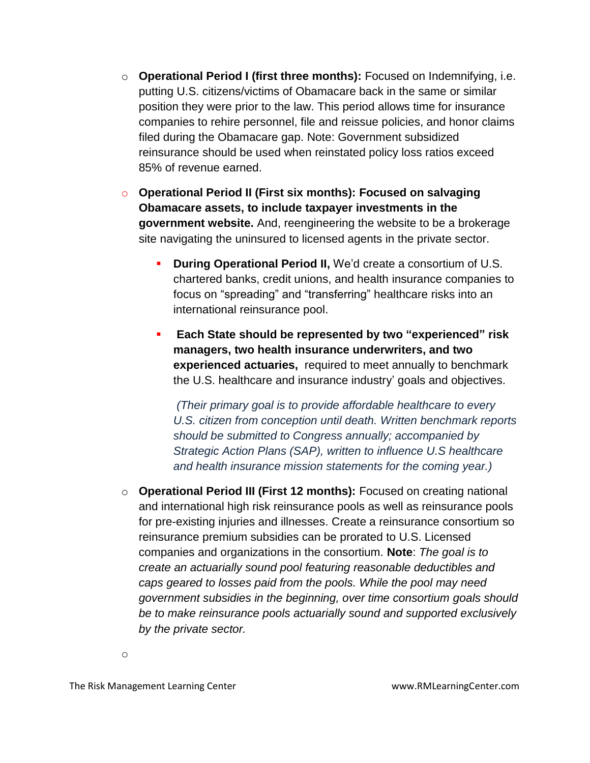- o **Operational Period I (first three months):** Focused on Indemnifying, i.e. putting U.S. citizens/victims of Obamacare back in the same or similar position they were prior to the law. This period allows time for insurance companies to rehire personnel, file and reissue policies, and honor claims filed during the Obamacare gap. Note: Government subsidized reinsurance should be used when reinstated policy loss ratios exceed 85% of revenue earned.
- o **Operational Period II (First six months): Focused on salvaging Obamacare assets, to include taxpayer investments in the government website.** And, reengineering the website to be a brokerage site navigating the uninsured to licensed agents in the private sector.
	- **During Operational Period II,** We'd create a consortium of U.S. chartered banks, credit unions, and health insurance companies to focus on "spreading" and "transferring" healthcare risks into an international reinsurance pool.
	- **Each State should be represented by two "experienced" risk managers, two health insurance underwriters, and two experienced actuaries,** required to meet annually to benchmark the U.S. healthcare and insurance industry' goals and objectives.

*(Their primary goal is to provide affordable healthcare to every U.S. citizen from conception until death. Written benchmark reports should be submitted to Congress annually; accompanied by Strategic Action Plans (SAP), written to influence U.S healthcare and health insurance mission statements for the coming year.)* 

o **Operational Period III (First 12 months):** Focused on creating national and international high risk reinsurance pools as well as reinsurance pools for pre-existing injuries and illnesses. Create a reinsurance consortium so reinsurance premium subsidies can be prorated to U.S. Licensed companies and organizations in the consortium. **Note**: *The goal is to create an actuarially sound pool featuring reasonable deductibles and caps geared to losses paid from the pools. While the pool may need government subsidies in the beginning, over time consortium goals should be to make reinsurance pools actuarially sound and supported exclusively by the private sector.*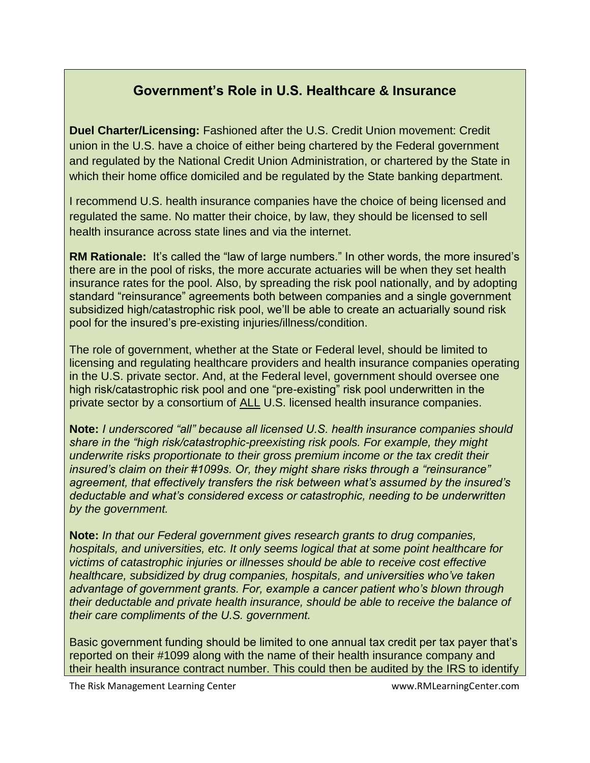#### **Government's Role in U.S. Healthcare & Insurance**

**Duel Charter/Licensing:** Fashioned after the U.S. Credit Union movement: Credit union in the U.S. have a choice of either being chartered by the Federal government and regulated by the National Credit Union Administration, or chartered by the State in which their home office domiciled and be regulated by the State banking department.

I recommend U.S. health insurance companies have the choice of being licensed and regulated the same. No matter their choice, by law, they should be licensed to sell health insurance across state lines and via the internet.

**RM Rationale:** It's called the "law of large numbers." In other words, the more insured's there are in the pool of risks, the more accurate actuaries will be when they set health insurance rates for the pool. Also, by spreading the risk pool nationally, and by adopting standard "reinsurance" agreements both between companies and a single government subsidized high/catastrophic risk pool, we'll be able to create an actuarially sound risk pool for the insured's pre-existing injuries/illness/condition.

The role of government, whether at the State or Federal level, should be limited to licensing and regulating healthcare providers and health insurance companies operating in the U.S. private sector. And, at the Federal level, government should oversee one high risk/catastrophic risk pool and one "pre-existing" risk pool underwritten in the private sector by a consortium of ALL U.S. licensed health insurance companies.

**Note:** *I underscored "all" because all licensed U.S. health insurance companies should share in the "high risk/catastrophic-preexisting risk pools. For example, they might underwrite risks proportionate to their gross premium income or the tax credit their insured's claim on their #1099s. Or, they might share risks through a "reinsurance" agreement, that effectively transfers the risk between what's assumed by the insured's deductable and what's considered excess or catastrophic, needing to be underwritten by the government.* 

**Note:** *In that our Federal government gives research grants to drug companies, hospitals, and universities, etc. It only seems logical that at some point healthcare for victims of catastrophic injuries or illnesses should be able to receive cost effective healthcare, subsidized by drug companies, hospitals, and universities who've taken advantage of government grants. For, example a cancer patient who's blown through their deductable and private health insurance, should be able to receive the balance of their care compliments of the U.S. government.* 

Basic government funding should be limited to one annual tax credit per tax payer that's reported on their #1099 along with the name of their health insurance company and their health insurance contract number. This could then be audited by the IRS to identify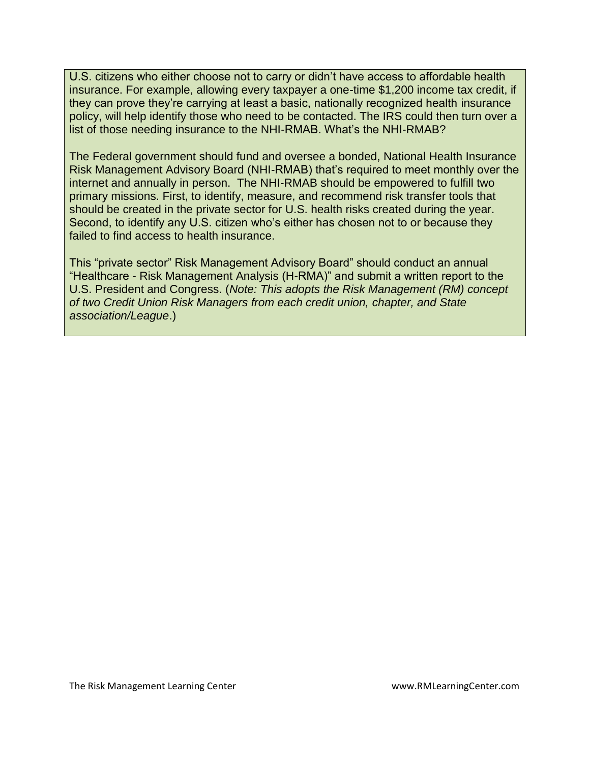U.S. citizens who either choose not to carry or didn't have access to affordable health insurance. For example, allowing every taxpayer a one-time \$1,200 income tax credit, if they can prove they're carrying at least a basic, nationally recognized health insurance policy, will help identify those who need to be contacted. The IRS could then turn over a list of those needing insurance to the NHI-RMAB. What's the NHI-RMAB?

The Federal government should fund and oversee a bonded, National Health Insurance Risk Management Advisory Board (NHI-RMAB) that's required to meet monthly over the internet and annually in person. The NHI-RMAB should be empowered to fulfill two primary missions. First, to identify, measure, and recommend risk transfer tools that should be created in the private sector for U.S. health risks created during the year. Second, to identify any U.S. citizen who's either has chosen not to or because they failed to find access to health insurance.

This "private sector" Risk Management Advisory Board" should conduct an annual "Healthcare - Risk Management Analysis (H-RMA)" and submit a written report to the U.S. President and Congress. (*Note: This adopts the Risk Management (RM) concept of two Credit Union Risk Managers from each credit union, chapter, and State association/League*.)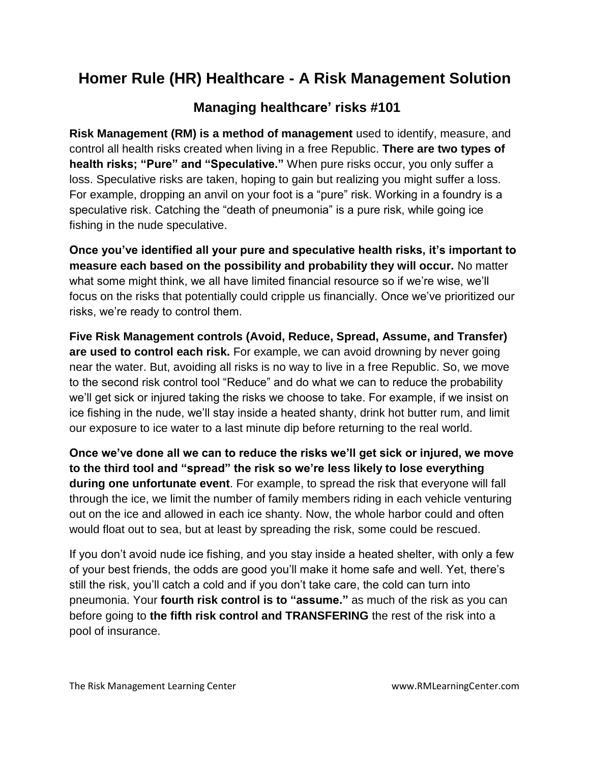#### **Homer Rule (HR) Healthcare - A Risk Management Solution**

#### **Managing healthcare' risks #101**

**Risk Management (RM) is a method of management** used to identify, measure, and control all health risks created when living in a free Republic. **There are two types of health risks; "Pure" and "Speculative."** When pure risks occur, you only suffer a loss. Speculative risks are taken, hoping to gain but realizing you might suffer a loss. For example, dropping an anvil on your foot is a "pure" risk. Working in a foundry is a speculative risk. Catching the "death of pneumonia" is a pure risk, while going ice fishing in the nude speculative.

**Once you've identified all your pure and speculative health risks, it's important to measure each based on the possibility and probability they will occur.** No matter what some might think, we all have limited financial resource so if we're wise, we'll focus on the risks that potentially could cripple us financially. Once we've prioritized our risks, we're ready to control them.

**Five Risk Management controls (Avoid, Reduce, Spread, Assume, and Transfer) are used to control each risk.** For example, we can avoid drowning by never going near the water. But, avoiding all risks is no way to live in a free Republic. So, we move to the second risk control tool "Reduce" and do what we can to reduce the probability we'll get sick or injured taking the risks we choose to take. For example, if we insist on ice fishing in the nude, we'll stay inside a heated shanty, drink hot butter rum, and limit our exposure to ice water to a last minute dip before returning to the real world.

**Once we've done all we can to reduce the risks we'll get sick or injured, we move to the third tool and "spread" the risk so we're less likely to lose everything during one unfortunate event**. For example, to spread the risk that everyone will fall through the ice, we limit the number of family members riding in each vehicle venturing out on the ice and allowed in each ice shanty. Now, the whole harbor could and often would float out to sea, but at least by spreading the risk, some could be rescued.

If you don't avoid nude ice fishing, and you stay inside a heated shelter, with only a few of your best friends, the odds are good you'll make it home safe and well. Yet, there's still the risk, you'll catch a cold and if you don't take care, the cold can turn into pneumonia. Your **fourth risk control is to "assume."** as much of the risk as you can before going to **the fifth risk control and TRANSFERING** the rest of the risk into a pool of insurance.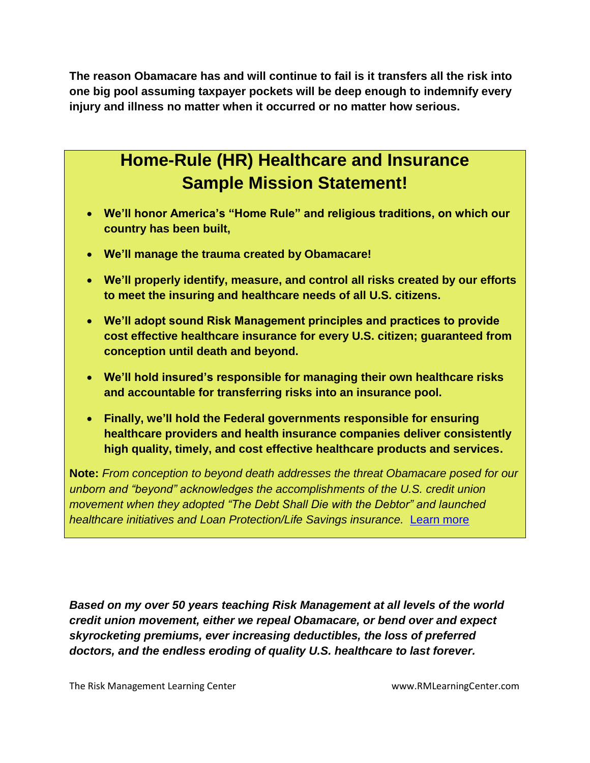**The reason Obamacare has and will continue to fail is it transfers all the risk into one big pool assuming taxpayer pockets will be deep enough to indemnify every injury and illness no matter when it occurred or no matter how serious.**

## **Home-Rule (HR) Healthcare and Insurance Sample Mission Statement!**

- **We'll honor America's "Home Rule" and religious traditions, on which our country has been built,**
- **We'll manage the trauma created by Obamacare!**
- **We'll properly identify, measure, and control all risks created by our efforts to meet the insuring and healthcare needs of all U.S. citizens.**
- **We'll adopt sound Risk Management principles and practices to provide cost effective healthcare insurance for every U.S. citizen; guaranteed from conception until death and beyond.**
- **We'll hold insured's responsible for managing their own healthcare risks and accountable for transferring risks into an insurance pool.**
- **Finally, we'll hold the Federal governments responsible for ensuring healthcare providers and health insurance companies deliver consistently high quality, timely, and cost effective healthcare products and services.**

**Note:** *From conception to beyond death addresses the threat Obamacare posed for our unborn and "beyond" acknowledges the accomplishments of the U.S. credit union movement when they adopted "The Debt Shall Die with the Debtor" and launched healthcare initiatives and Loan Protection/Life Savings insurance.* [Learn more](../../../../../../Documents%20and%20Settings/Admin/My%20Documents/My%20Web%20Sites/www.rmlearningcenter.com/Guarding_The_Door_2014/Guarding_the_Door/learning.htm) 

*Based on my over 50 years teaching Risk Management at all levels of the world credit union movement, either we repeal Obamacare, or bend over and expect skyrocketing premiums, ever increasing deductibles, the loss of preferred doctors, and the endless eroding of quality U.S. healthcare to last forever.*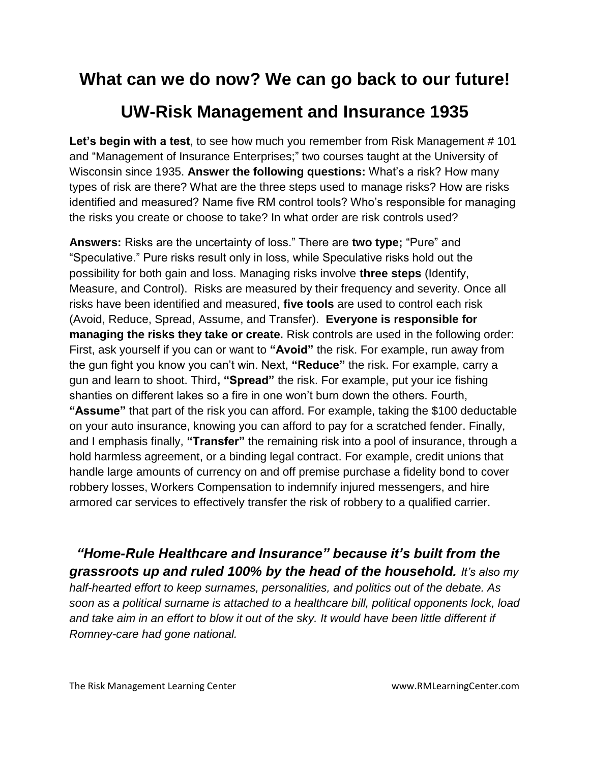## **What can we do now? We can go back to our future!**

## **UW-Risk Management and Insurance 1935**

**Let's begin with a test**, to see how much you remember from Risk Management # 101 and "Management of Insurance Enterprises;" two courses taught at the University of Wisconsin since 1935. **Answer the following questions:** What's a risk? How many types of risk are there? What are the three steps used to manage risks? How are risks identified and measured? Name five RM control tools? Who's responsible for managing the risks you create or choose to take? In what order are risk controls used?

**Answers:** Risks are the uncertainty of loss." There are **two type;** "Pure" and "Speculative." Pure risks result only in loss, while Speculative risks hold out the possibility for both gain and loss. Managing risks involve **three steps** (Identify, Measure, and Control). Risks are measured by their frequency and severity. Once all risks have been identified and measured, **five tools** are used to control each risk (Avoid, Reduce, Spread, Assume, and Transfer). **Everyone is responsible for managing the risks they take or create.** Risk controls are used in the following order: First, ask yourself if you can or want to **"Avoid"** the risk. For example, run away from the gun fight you know you can't win. Next, **"Reduce"** the risk. For example, carry a gun and learn to shoot. Third**, "Spread"** the risk. For example, put your ice fishing shanties on different lakes so a fire in one won't burn down the others. Fourth, **"Assume"** that part of the risk you can afford. For example, taking the \$100 deductable on your auto insurance, knowing you can afford to pay for a scratched fender. Finally, and I emphasis finally, **"Transfer"** the remaining risk into a pool of insurance, through a hold harmless agreement, or a binding legal contract. For example, credit unions that handle large amounts of currency on and off premise purchase a fidelity bond to cover robbery losses, Workers Compensation to indemnify injured messengers, and hire armored car services to effectively transfer the risk of robbery to a qualified carrier.

*"Home-Rule Healthcare and Insurance" because it's built from the grassroots up and ruled 100% by the head of the household. It's also my half-hearted effort to keep surnames, personalities, and politics out of the debate. As soon as a political surname is attached to a healthcare bill, political opponents lock, load*  and take aim in an effort to blow it out of the sky. It would have been little different if *Romney-care had gone national.*